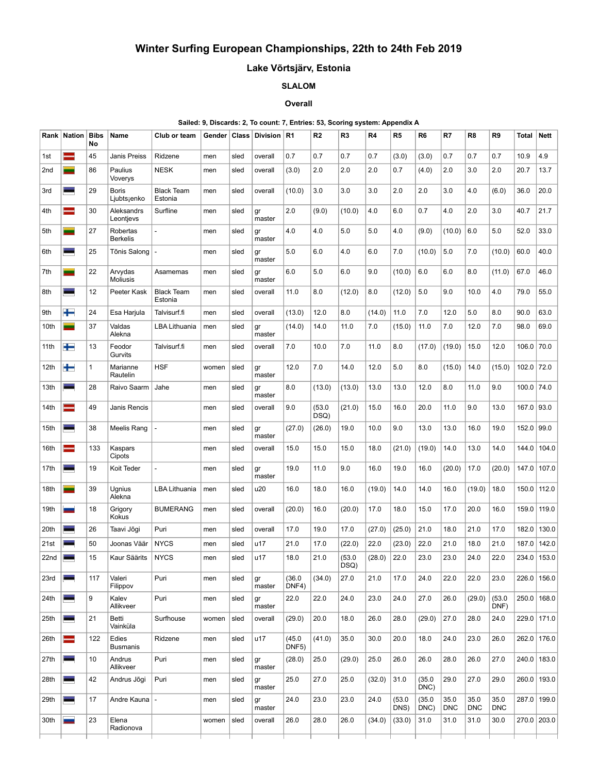# Winter Surfing European Championships, 22th to 24th Feb 2019

## Lake Võrtsjärv, Estonia

## SLALOM

### **Overall**

#### Sailed: 9, Discards: 2, To count: 7, Entries: 53, Scoring system: Appendix A

|      | Rank   Nation | <b>Bibs</b><br>No | Name                        | Club or team                 | Gender | Class | Division R1  |                              | R <sub>2</sub> | R <sub>3</sub> | R4     | R <sub>5</sub> | R <sub>6</sub> | R7                 | R <sub>8</sub>     | R9                 | <b>Total</b> | Nett        |
|------|---------------|-------------------|-----------------------------|------------------------------|--------|-------|--------------|------------------------------|----------------|----------------|--------|----------------|----------------|--------------------|--------------------|--------------------|--------------|-------------|
| 1st  | ۰             | 45                | Janis Preiss                | Ridzene                      | men    | sled  | overall      | 0.7                          | 0.7            | 0.7            | 0.7    | (3.0)          | (3.0)          | 0.7                | 0.7                | 0.7                | 10.9         | 4.9         |
| 2nd  | -             | 86                | Paulius<br>Voverys          | <b>NESK</b>                  | men    | sled  | overall      | (3.0)                        | 2.0            | 2.0            | 2.0    | 0.7            | (4.0)          | 2.0                | 3.0                | 2.0                | 20.7         | 13.7        |
| 3rd  | Ξ             | 29                | <b>Boris</b><br>Ljubtsjenko | <b>Black Team</b><br>Estonia | men    | sled  | overall      | (10.0)                       | 3.0            | 3.0            | 3.0    | 2.0            | 2.0            | 3.0                | 4.0                | (6.0)              | 36.0         | 20.0        |
| 4th  | =             | 30                | Aleksandrs<br>Leontjevs     | Surfline                     | men    | sled  | gr<br>master | 2.0                          | (9.0)          | (10.0)         | 4.0    | 6.0            | 0.7            | 4.0                | 2.0                | 3.0                | 40.7         | 21.7        |
| 5th  | -             | 27                | Robertas<br><b>Berkelis</b> |                              | men    | sled  | gr<br>master | 4.0                          | 4.0            | 5.0            | 5.0    | 4.0            | (9.0)          | (10.0)             | 6.0                | 5.0                | 52.0         | 33.0        |
| 6th  | ۰             | 25                | Tõnis Salong                |                              | men    | sled  | gr<br>master | 5.0                          | 6.0            | 4.0            | 6.0    | 7.0            | (10.0)         | 5.0                | 7.0                | (10.0)             | 60.0         | 40.0        |
| 7th  | -             | 22                | Arvydas<br><b>Moliusis</b>  | Asamemas                     | men    | sled  | gr<br>master | 6.0                          | 5.0            | 6.0            | 9.0    | (10.0)         | 6.0            | 6.0                | 8.0                | (11.0)             | 67.0         | 46.0        |
| 8th  | Ξ.            | 12                | Peeter Kask                 | <b>Black Team</b><br>Estonia | men    | sled  | overall      | 11.0                         | 8.0            | (12.0)         | 8.0    | (12.0)         | 5.0            | 9.0                | 10.0               | 4.0                | 79.0         | 55.0        |
| 9th  | $\pm$         | 24                | Esa Harjula                 | Talvisurf.fi                 | men    | sled  | overall      | (13.0)                       | 12.0           | 8.0            | (14.0) | 11.0           | 7.0            | 12.0               | 5.0                | 8.0                | 90.0         | 63.0        |
| 10th | -             | 37                | Valdas<br>Alekna            | LBA Lithuania                | men    | sled  | gr<br>master | (14.0)                       | 14.0           | 11.0           | 7.0    | (15.0)         | 11.0           | 7.0                | 12.0               | 7.0                | 98.0         | 69.0        |
| 11th | ╄             | 13                | Feodor<br>Gurvits           | Talvisurf.fi                 | men    | sled  | overall      | 7.0                          | 10.0           | 7.0            | 11.0   | 8.0            | (17.0)         | (19.0)             | 15.0               | 12.0               | 106.0        | 70.0        |
| 12th | $\pm$         | $\mathbf{1}$      | Marianne<br>Rautelin        | <b>HSF</b>                   | women  | sled  | gr<br>master | 12.0                         | 7.0            | 14.0           | 12.0   | 5.0            | 8.0            | (15.0)             | 14.0               | (15.0)             | 102.0        | 72.0        |
| 13th | ÷             | 28                | Raivo Saarm                 | Jahe                         | men    | sled  | gr<br>master | 8.0                          | (13.0)         | (13.0)         | 13.0   | 13.0           | 12.0           | 8.0                | 11.0               | 9.0                | 100.0        | 74.0        |
| 14th | ▀             | 49                | <b>Janis Rencis</b>         |                              | men    | sled  | overall      | 9.0                          | (53.0)<br>DSQ) | (21.0)         | 15.0   | 16.0           | 20.0           | 11.0               | 9.0                | 13.0               | 167.0        | 93.0        |
| 15th | ۰             | 38                | Meelis Rang                 |                              | men    | sled  | gr<br>master | (27.0)                       | (26.0)         | 19.0           | 10.0   | 9.0            | 13.0           | 13.0               | 16.0               | 19.0               | 152.0        | 99.0        |
| 16th | $\, = \,$     | 133               | Kaspars<br>Cipots           |                              | men    | sled  | overall      | 15.0                         | 15.0           | 15.0           | 18.0   | (21.0)         | (19.0)         | 14.0               | 13.0               | 14.0               | 144.0        | 104.0       |
| 17th | -             | 19                | Koit Teder                  |                              | men    | sled  | gr<br>master | 19.0                         | 11.0           | 9.0            | 16.0   | 19.0           | 16.0           | (20.0)             | 17.0               | (20.0)             | 147.0        | 107.0       |
| 18th | -             | 39                | Ugnius<br>Alekna            | <b>LBA Lithuania</b>         | men    | sled  | u20          | 16.0                         | 18.0           | 16.0           | (19.0) | 14.0           | 14.0           | 16.0               | (19.0)             | 18.0               | 150.0        | 112.0       |
| 19th |               | 18                | Grigory<br>Kokus            | <b>BUMERANG</b>              | men    | sled  | overall      | (20.0)                       | 16.0           | (20.0)         | 17.0   | 18.0           | 15.0           | 17.0               | 20.0               | 16.0               | 159.0        | 119.0       |
| 20th | ÷             | 26                | Taavi Jõgi                  | Puri                         | men    | sled  | overall      | 17.0                         | 19.0           | 17.0           | (27.0) | (25.0)         | 21.0           | 18.0               | 21.0               | 17.0               | 182.0        | 130.0       |
| 21st | -             | 50                | Joonas Väär                 | <b>NYCS</b>                  | men    | sled  | u17          | 21.0                         | 17.0           | (22.0)         | 22.0   | (23.0)         | 22.0           | 21.0               | 18.0               | 21.0               | 187.0        | 142.0       |
| 22nd | -             | 15                | Kaur Säärits                | <b>NYCS</b>                  | men    | sled  | u17          | 18.0                         | 21.0           | (53.0)<br>DSQ) | (28.0) | 22.0           | 23.0           | 23.0               | 24.0               | 22.0               | 234.0        | 153.0       |
| 23rd |               | 117               | Valeri<br>Filippov          | Puri                         | men    | sled  | gr<br>master | (36.0)<br>DNF4)              | (34.0)         | 27.0           | 21.0   | 17.0           | 24.0           | 22.0               | 22.0               | 23.0               | 226.0        | 156.0       |
| 24th | -             | 9                 | Kalev<br>Allikveer          | Puri                         | men    | sled  | gr<br>master | 22.0                         | 22.0           | 24.0           | 23.0   | 24.0           | 27.0           | 26.0               | (29.0)             | (53.0)<br>DNF)     | 250.0        | 168.0       |
| 25th | -             | 21                | Betti<br>Vainküla           | Surfhouse                    | women  | sled  | overall      | (29.0)                       | 20.0           | 18.0           | 26.0   | 28.0           | (29.0)         | 27.0               | 28.0               | 24.0               | 229.0        | 171.0       |
| 26th | ー             | 122               | Edies<br><b>Busmanis</b>    | Ridzene                      | men    | sled  | u17          | (45.0)<br>DNF <sub>5</sub> ) | (41.0)         | 35.0           | 30.0   | 20.0           | 18.0           | 24.0               | 23.0               | 26.0               | 262.0        | 176.0       |
| 27th |               | 10                | Andrus<br>Allikveer         | Puri                         | men    | sled  | gr<br>master | (28.0)                       | 25.0           | (29.0)         | 25.0   | 26.0           | 26.0           | 28.0               | 26.0               | 27.0               |              | 240.0 183.0 |
| 28th | -             | 42                | Andrus Jõgi                 | Puri                         | men    | sled  | gr<br>master | 25.0                         | 27.0           | 25.0           | (32.0) | 31.0           | (35.0)<br>DNC) | 29.0               | 27.0               | 29.0               | 260.0        | 193.0       |
| 29th |               | 17                | Andre Kauna                 |                              | men    | sled  | gr<br>master | 24.0                         | 23.0           | 23.0           | 24.0   | (53.0)<br>DNS) | (35.0)<br>DNC) | 35.0<br><b>DNC</b> | 35.0<br><b>DNC</b> | 35.0<br><b>DNC</b> | 287.0        | 199.0       |
| 30th |               | 23                | Elena<br>Radionova          |                              | women  | sled  | overall      | 26.0                         | 28.0           | 26.0           | (34.0) | (33.0)         | 31.0           | 31.0               | 31.0               | 30.0               |              | 270.0 203.0 |
|      |               |                   |                             |                              |        |       |              |                              |                |                |        |                |                |                    |                    |                    |              |             |